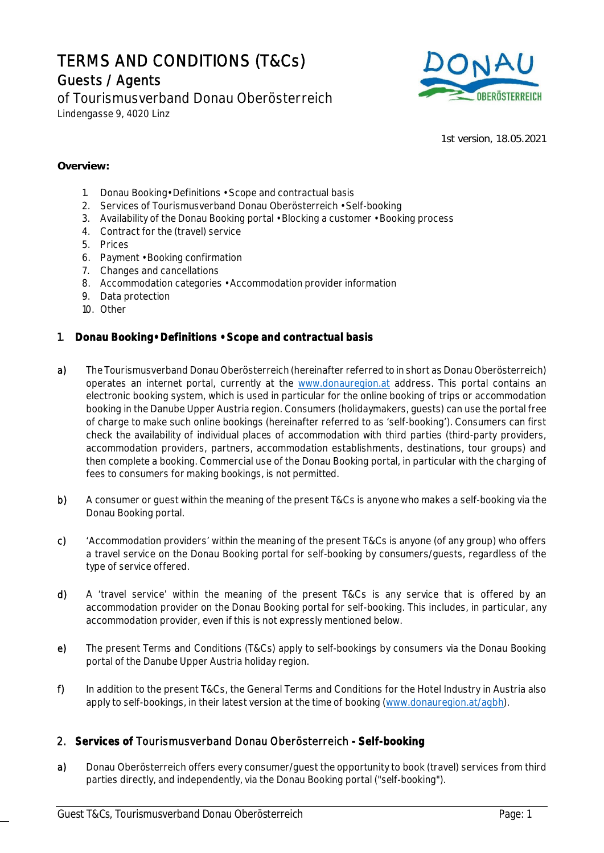# TERMS AND CONDITIONS (T&Cs) Guests / Agents

of Tourismusverband Donau Oberösterreich Lindengasse 9, 4020 Linz



1st version, 18.05.2021

#### **Overview:**

- 1. Donau Booking• Definitions Scope and contractual basis
- 2. Services of Tourismusverband Donau Oberösterreich Self-booking
- 3. Availability of the Donau Booking portal Blocking a customer Booking process
- 4. Contract for the (travel) service
- 5. Prices
- 6. Payment Booking confirmation
- 7. Changes and cancellations
- 8. Accommodation categories Accommodation provider information
- 9. Data protection
- 10. Other

#### 1. **Donau Booking• Definitions • Scope and contractual basis**

- a) The Tourismusverband Donau Oberösterreich (hereinafter referred to in short as Donau Oberösterreich) operates an internet portal, currently at the www.donauregion.at address. This portal contains an electronic booking system, which is used in particular for the online booking of trips or accommodation booking in the Danube Upper Austria region. Consumers (holidaymakers, guests) can use the portal free of charge to make such online bookings (hereinafter referred to as 'self-booking'). Consumers can first check the availability of individual places of accommodation with third parties (third-party providers, accommodation providers, partners, accommodation establishments, destinations, tour groups) and then complete a booking. Commercial use of the Donau Booking portal, in particular with the charging of fees to consumers for making bookings, is not permitted.
- b) A consumer or guest within the meaning of the present T&Cs is anyone who makes a self-booking via the Donau Booking portal.
- c) 'Accommodation providers' within the meaning of the present T&Cs is anyone (of any group) who offers a travel service on the Donau Booking portal for self-booking by consumers/guests, regardless of the type of service offered.
- d) A 'travel service' within the meaning of the present T&Cs is any service that is offered by an accommodation provider on the Donau Booking portal for self-booking. This includes, in particular, any accommodation provider, even if this is not expressly mentioned below.
- e) The present Terms and Conditions (T&Cs) apply to self-bookings by consumers via the Donau Booking portal of the Danube Upper Austria holiday region.
- f) In addition to the present T&Cs, the General Terms and Conditions for the Hotel Industry in Austria also apply to self-bookings, in their latest version at the time of booking (www.donauregion.at/agbh).

## 2. **Services of** Tourismusverband Donau Oberösterreich **- Self-booking**

a) Donau Oberösterreich offers every consumer/quest the opportunity to book (travel) services from third parties directly, and independently, via the Donau Booking portal ("self-booking").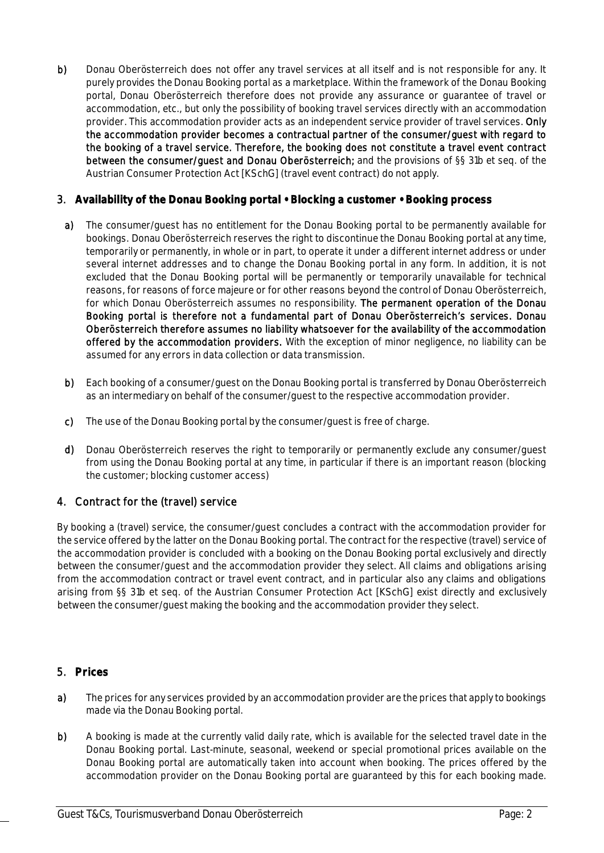b) Donau Oberösterreich does not offer any travel services at all itself and is not responsible for any. It purely provides the Donau Booking portal as a marketplace. Within the framework of the Donau Booking portal, Donau Oberösterreich therefore does not provide any assurance or guarantee of travel or accommodation, etc., but only the possibility of booking travel services directly with an accommodation provider. This accommodation provider acts as an independent service provider of travel services. Only the accommodation provider becomes a contractual partner of the consumer/guest with regard to the booking of a travel service. Therefore, the booking does not constitute a travel event contract between the consumer/guest and Donau Oberösterreich; and the provisions of §§ 31b et seq. of the Austrian Consumer Protection Act [KSchG] (travel event contract) do not apply.

## 3. **Availability of the Donau Booking portal • Blocking a customer • Booking process**

- a) The consumer/guest has no entitlement for the Donau Booking portal to be permanently available for bookings. Donau Oberösterreich reserves the right to discontinue the Donau Booking portal at any time, temporarily or permanently, in whole or in part, to operate it under a different internet address or under several internet addresses and to change the Donau Booking portal in any form. In addition, it is not excluded that the Donau Booking portal will be permanently or temporarily unavailable for technical reasons, for reasons of force majeure or for other reasons beyond the control of Donau Oberösterreich, for which Donau Oberösterreich assumes no responsibility. The permanent operation of the Donau Booking portal is therefore not a fundamental part of Donau Oberösterreich's services. Donau Oberösterreich therefore assumes no liability whatsoever for the availability of the accommodation offered by the accommodation providers. With the exception of minor negligence, no liability can be assumed for any errors in data collection or data transmission.
- b) Each booking of a consumer/guest on the Donau Booking portal is transferred by Donau Oberösterreich as an intermediary on behalf of the consumer/guest to the respective accommodation provider.
- c) The use of the Donau Booking portal by the consumer/guest is free of charge.
- d) Donau Oberösterreich reserves the right to temporarily or permanently exclude any consumer/guest from using the Donau Booking portal at any time, in particular if there is an important reason (blocking the customer; blocking customer access)

# 4. Contract for the (travel) service

By booking a (travel) service, the consumer/guest concludes a contract with the accommodation provider for the service offered by the latter on the Donau Booking portal. The contract for the respective (travel) service of the accommodation provider is concluded with a booking on the Donau Booking portal exclusively and directly between the consumer/guest and the accommodation provider they select. All claims and obligations arising from the accommodation contract or travel event contract, and in particular also any claims and obligations arising from §§ 31b et seq. of the Austrian Consumer Protection Act [KSchG] exist directly and exclusively between the consumer/guest making the booking and the accommodation provider they select.

## 5. **Prices**

- a) The prices for any services provided by an accommodation provider are the prices that apply to bookings made via the Donau Booking portal.
- b) A booking is made at the currently valid daily rate, which is available for the selected travel date in the Donau Booking portal. Last-minute, seasonal, weekend or special promotional prices available on the Donau Booking portal are automatically taken into account when booking. The prices offered by the accommodation provider on the Donau Booking portal are guaranteed by this for each booking made.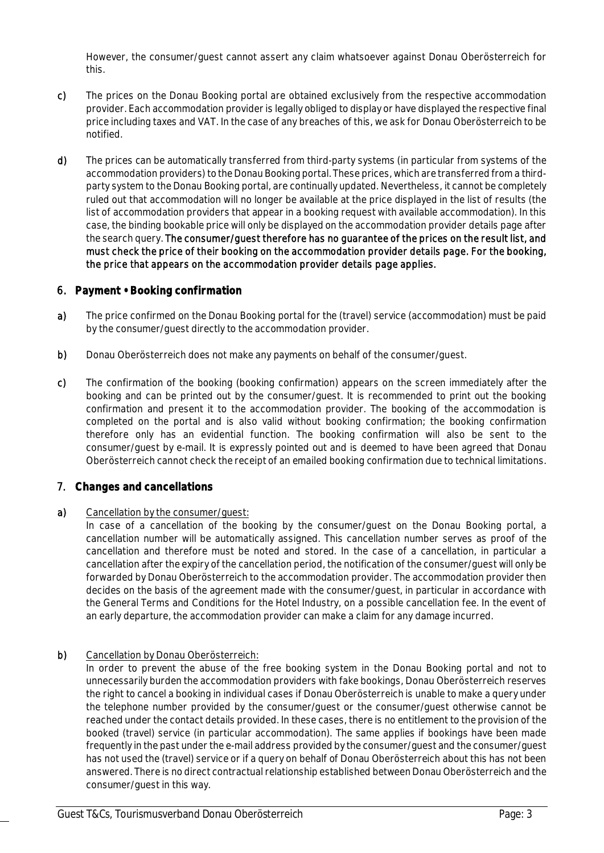However, the consumer/guest cannot assert any claim whatsoever against Donau Oberösterreich for this.

- c) The prices on the Donau Booking portal are obtained exclusively from the respective accommodation provider. Each accommodation provider is legally obliged to display or have displayed the respective final price including taxes and VAT. In the case of any breaches of this, we ask for Donau Oberösterreich to be notified.
- d) The prices can be automatically transferred from third-party systems (in particular from systems of the accommodation providers) to the Donau Booking portal. These prices, which are transferred from a thirdparty system to the Donau Booking portal, are continually updated. Nevertheless, it cannot be completely ruled out that accommodation will no longer be available at the price displayed in the list of results (the list of accommodation providers that appear in a booking request with available accommodation). In this case, the binding bookable price will only be displayed on the accommodation provider details page after the search query. The consumer/guest therefore has no guarantee of the prices on the result list, and must check the price of their booking on the accommodation provider details page. For the booking, the price that appears on the accommodation provider details page applies.

#### 6. **Payment • Booking confirmation**

- a) The price confirmed on the Donau Booking portal for the (travel) service (accommodation) must be paid by the consumer/guest directly to the accommodation provider.
- b) Donau Oberösterreich does not make any payments on behalf of the consumer/quest.
- c) The confirmation of the booking (booking confirmation) appears on the screen immediately after the booking and can be printed out by the consumer/guest. It is recommended to print out the booking confirmation and present it to the accommodation provider. The booking of the accommodation is completed on the portal and is also valid without booking confirmation; the booking confirmation therefore only has an evidential function. The booking confirmation will also be sent to the consumer/guest by e-mail. It is expressly pointed out and is deemed to have been agreed that Donau Oberösterreich cannot check the receipt of an emailed booking confirmation due to technical limitations.

## 7. **Changes and cancellations**

a) Cancellation by the consumer/quest:

In case of a cancellation of the booking by the consumer/guest on the Donau Booking portal, a cancellation number will be automatically assigned. This cancellation number serves as proof of the cancellation and therefore must be noted and stored. In the case of a cancellation, in particular a cancellation after the expiry of the cancellation period, the notification of the consumer/guest will only be forwarded by Donau Oberösterreich to the accommodation provider. The accommodation provider then decides on the basis of the agreement made with the consumer/guest, in particular in accordance with the General Terms and Conditions for the Hotel Industry, on a possible cancellation fee. In the event of an early departure, the accommodation provider can make a claim for any damage incurred.

#### b) Cancellation by Donau Oberösterreich:

In order to prevent the abuse of the free booking system in the Donau Booking portal and not to unnecessarily burden the accommodation providers with fake bookings, Donau Oberösterreich reserves the right to cancel a booking in individual cases if Donau Oberösterreich is unable to make a query under the telephone number provided by the consumer/guest or the consumer/guest otherwise cannot be reached under the contact details provided. In these cases, there is no entitlement to the provision of the booked (travel) service (in particular accommodation). The same applies if bookings have been made frequently in the past under the e-mail address provided by the consumer/guest and the consumer/guest has not used the (travel) service or if a query on behalf of Donau Oberösterreich about this has not been answered. There is no direct contractual relationship established between Donau Oberösterreich and the consumer/guest in this way.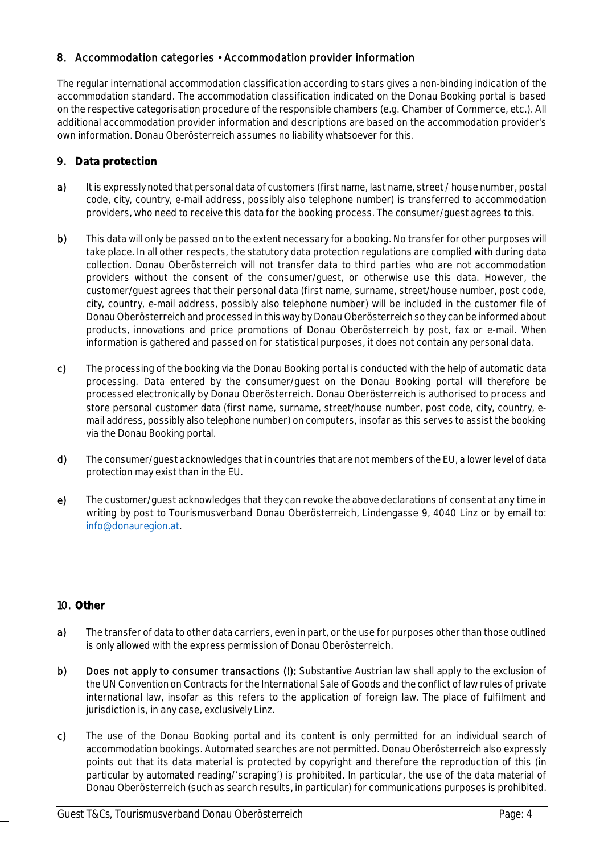## 8. Accommodation categories • Accommodation provider information

The regular international accommodation classification according to stars gives a non-binding indication of the accommodation standard. The accommodation classification indicated on the Donau Booking portal is based on the respective categorisation procedure of the responsible chambers (e.g. Chamber of Commerce, etc.). All additional accommodation provider information and descriptions are based on the accommodation provider's own information. Donau Oberösterreich assumes no liability whatsoever for this.

# 9. **Data protection**

- a) It is expressly noted that personal data of customers (first name, last name, street / house number, postal code, city, country, e-mail address, possibly also telephone number) is transferred to accommodation providers, who need to receive this data for the booking process. The consumer/guest agrees to this.
- b) This data will only be passed on to the extent necessary for a booking. No transfer for other purposes will take place. In all other respects, the statutory data protection regulations are complied with during data collection. Donau Oberösterreich will not transfer data to third parties who are not accommodation providers without the consent of the consumer/guest, or otherwise use this data. However, the customer/guest agrees that their personal data (first name, surname, street/house number, post code, city, country, e-mail address, possibly also telephone number) will be included in the customer file of Donau Oberösterreich and processed in this way by Donau Oberösterreich so they can be informed about products, innovations and price promotions of Donau Oberösterreich by post, fax or e-mail. When information is gathered and passed on for statistical purposes, it does not contain any personal data.
- c) The processing of the booking via the Donau Booking portal is conducted with the help of automatic data processing. Data entered by the consumer/guest on the Donau Booking portal will therefore be processed electronically by Donau Oberösterreich. Donau Oberösterreich is authorised to process and store personal customer data (first name, surname, street/house number, post code, city, country, email address, possibly also telephone number) on computers, insofar as this serves to assist the booking via the Donau Booking portal.
- d) The consumer/guest acknowledges that in countries that are not members of the EU, a lower level of data protection may exist than in the EU.
- e) The customer/guest acknowledges that they can revoke the above declarations of consent at any time in writing by post to Tourismusverband Donau Oberösterreich, Lindengasse 9, 4040 Linz or by email to: info@donauregion.at.

# 10. **Other**

- a) The transfer of data to other data carriers, even in part, or the use for purposes other than those outlined is only allowed with the express permission of Donau Oberösterreich.
- b) Does not apply to consumer transactions (!): Substantive Austrian law shall apply to the exclusion of the UN Convention on Contracts for the International Sale of Goods and the conflict of law rules of private international law, insofar as this refers to the application of foreign law. The place of fulfilment and jurisdiction is, in any case, exclusively Linz.
- c) The use of the Donau Booking portal and its content is only permitted for an individual search of accommodation bookings. Automated searches are not permitted. Donau Oberösterreich also expressly points out that its data material is protected by copyright and therefore the reproduction of this (in particular by automated reading/'scraping') is prohibited. In particular, the use of the data material of Donau Oberösterreich (such as search results, in particular) for communications purposes is prohibited.